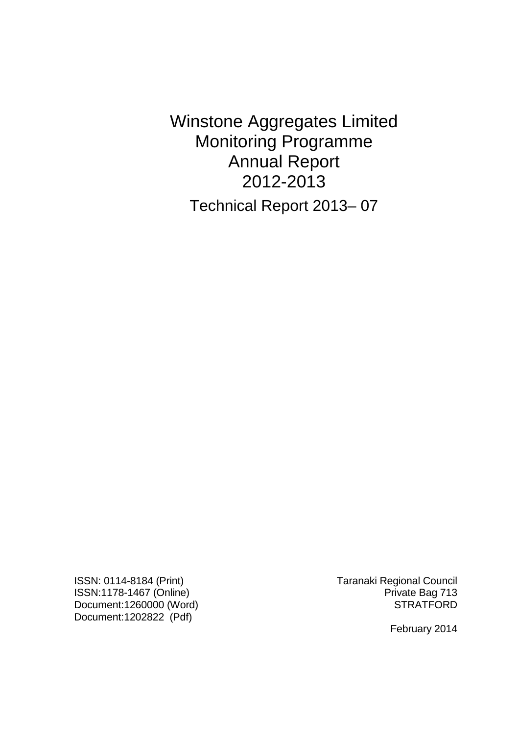Winstone Aggregates Limited Monitoring Programme Annual Report 2012-2013 Technical Report 2013– 07

ISSN: 0114-8184 (Print) Taranaki Regional Council ISSN:1178-1467 (Online) **Private Bag 713** Document:1260000 (Word) STRATFORD Document:1202822 (Pdf)

February 2014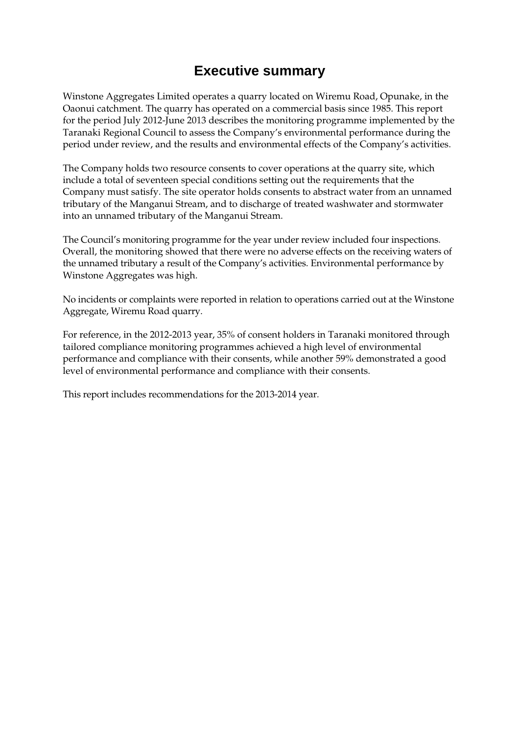## **Executive summary**

Winstone Aggregates Limited operates a quarry located on Wiremu Road, Opunake, in the Oaonui catchment. The quarry has operated on a commercial basis since 1985. This report for the period July 2012-June 2013 describes the monitoring programme implemented by the Taranaki Regional Council to assess the Company's environmental performance during the period under review, and the results and environmental effects of the Company's activities.

The Company holds two resource consents to cover operations at the quarry site, which include a total of seventeen special conditions setting out the requirements that the Company must satisfy. The site operator holds consents to abstract water from an unnamed tributary of the Manganui Stream, and to discharge of treated washwater and stormwater into an unnamed tributary of the Manganui Stream.

The Council's monitoring programme for the year under review included four inspections. Overall, the monitoring showed that there were no adverse effects on the receiving waters of the unnamed tributary a result of the Company's activities. Environmental performance by Winstone Aggregates was high.

No incidents or complaints were reported in relation to operations carried out at the Winstone Aggregate, Wiremu Road quarry.

For reference, in the 2012-2013 year, 35% of consent holders in Taranaki monitored through tailored compliance monitoring programmes achieved a high level of environmental performance and compliance with their consents, while another 59% demonstrated a good level of environmental performance and compliance with their consents.

This report includes recommendations for the 2013-2014 year*.*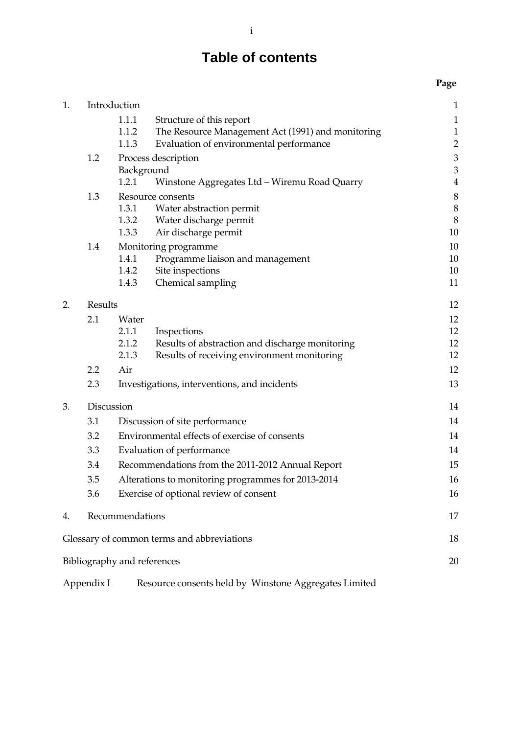# **Table of contents**

## **Page**

| 1. |                                                           | Introduction                |                                                       | $\mathbf{1}$   |
|----|-----------------------------------------------------------|-----------------------------|-------------------------------------------------------|----------------|
|    |                                                           | 1.1.1                       | Structure of this report                              | $\mathbf{1}$   |
|    |                                                           | 1.1.2                       | The Resource Management Act (1991) and monitoring     | $\mathbf 1$    |
|    |                                                           | 1.1.3                       | Evaluation of environmental performance               | $\overline{c}$ |
|    | 1.2                                                       |                             | Process description                                   | 3              |
|    | Background                                                |                             | $\mathfrak{Z}$                                        |                |
|    |                                                           | 1.2.1                       | Winstone Aggregates Ltd - Wiremu Road Quarry          | $\overline{4}$ |
|    | 1.3                                                       |                             | Resource consents                                     | 8              |
|    |                                                           | 1.3.1                       | Water abstraction permit                              | 8              |
|    |                                                           | 1.3.2                       | Water discharge permit                                | 8              |
|    |                                                           | 1.3.3                       | Air discharge permit                                  | 10             |
|    | 1.4                                                       |                             | Monitoring programme                                  | 10             |
|    |                                                           | 1.4.1                       | Programme liaison and management                      | 10             |
|    |                                                           | 1.4.2                       | Site inspections                                      | 10             |
|    |                                                           | 1.4.3                       | Chemical sampling                                     | 11             |
| 2. | Results                                                   |                             |                                                       | 12             |
|    | 2.1                                                       | Water                       |                                                       | 12             |
|    |                                                           | 2.1.1                       | Inspections                                           | 12             |
|    |                                                           | 2.1.2                       | Results of abstraction and discharge monitoring       | 12             |
|    |                                                           | 2.1.3                       | Results of receiving environment monitoring           | 12             |
|    | 2.2                                                       | Air                         |                                                       | 12             |
|    | 2.3<br>Investigations, interventions, and incidents       |                             | 13                                                    |                |
| 3. | Discussion                                                |                             | 14                                                    |                |
|    | Discussion of site performance<br>3.1                     |                             | 14                                                    |                |
|    | Environmental effects of exercise of consents<br>3.2      |                             | 14                                                    |                |
|    | 3.3<br>Evaluation of performance                          |                             | 14                                                    |                |
|    | 3.4<br>Recommendations from the 2011-2012 Annual Report   |                             | 15                                                    |                |
|    | 3.5<br>Alterations to monitoring programmes for 2013-2014 |                             | 16                                                    |                |
|    | Exercise of optional review of consent<br>3.6             |                             | 16                                                    |                |
| 4. |                                                           | Recommendations             |                                                       | 17             |
|    |                                                           |                             | Glossary of common terms and abbreviations            | 18             |
|    |                                                           |                             |                                                       |                |
|    |                                                           | Bibliography and references |                                                       | 20             |
|    | Appendix I                                                |                             | Resource consents held by Winstone Aggregates Limited |                |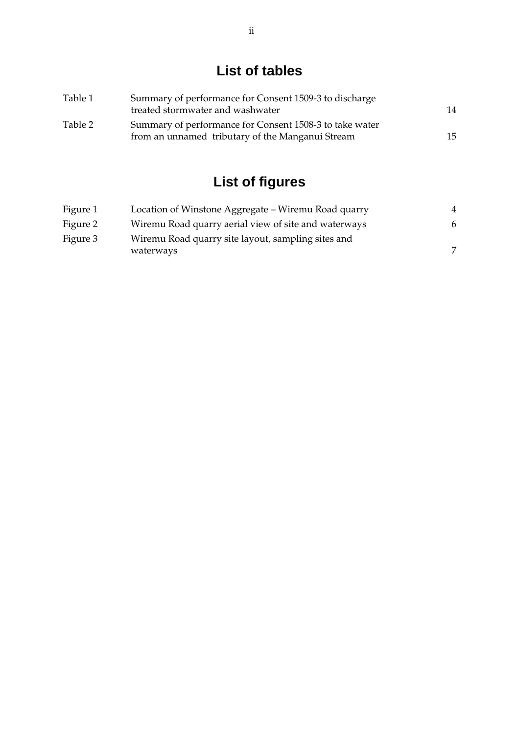# **List of tables**

| Table 1 | Summary of performance for Consent 1509-3 to discharge<br>treated stormwater and washwater                  | 14 |
|---------|-------------------------------------------------------------------------------------------------------------|----|
| Table 2 | Summary of performance for Consent 1508-3 to take water<br>from an unnamed tributary of the Manganui Stream | 15 |

# **List of figures**

| Figure 1 | Location of Winstone Aggregate – Wiremu Road quarry             |   |
|----------|-----------------------------------------------------------------|---|
| Figure 2 | Wiremu Road quarry aerial view of site and waterways            | 6 |
| Figure 3 | Wiremu Road quarry site layout, sampling sites and<br>waterways | 7 |
|          |                                                                 |   |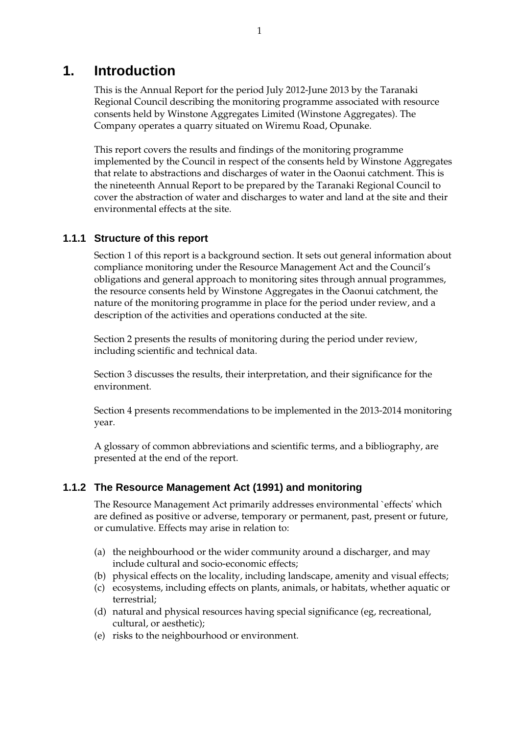## **1. Introduction**

This is the Annual Report for the period July 2012-June 2013 by the Taranaki Regional Council describing the monitoring programme associated with resource consents held by Winstone Aggregates Limited (Winstone Aggregates). The Company operates a quarry situated on Wiremu Road, Opunake.

This report covers the results and findings of the monitoring programme implemented by the Council in respect of the consents held by Winstone Aggregates that relate to abstractions and discharges of water in the Oaonui catchment. This is the nineteenth Annual Report to be prepared by the Taranaki Regional Council to cover the abstraction of water and discharges to water and land at the site and their environmental effects at the site.

#### **1.1.1 Structure of this report**

Section 1 of this report is a background section. It sets out general information about compliance monitoring under the Resource Management Act and the Council's obligations and general approach to monitoring sites through annual programmes, the resource consents held by Winstone Aggregates in the Oaonui catchment, the nature of the monitoring programme in place for the period under review, and a description of the activities and operations conducted at the site.

Section 2 presents the results of monitoring during the period under review, including scientific and technical data.

Section 3 discusses the results, their interpretation, and their significance for the environment.

Section 4 presents recommendations to be implemented in the 2013-2014 monitoring year.

A glossary of common abbreviations and scientific terms, and a bibliography, are presented at the end of the report.

#### **1.1.2 The Resource Management Act (1991) and monitoring**

The Resource Management Act primarily addresses environmental `effects' which are defined as positive or adverse, temporary or permanent, past, present or future, or cumulative. Effects may arise in relation to:

- (a) the neighbourhood or the wider community around a discharger, and may include cultural and socio-economic effects;
- (b) physical effects on the locality, including landscape, amenity and visual effects;
- (c) ecosystems, including effects on plants, animals, or habitats, whether aquatic or terrestrial;
- (d) natural and physical resources having special significance (eg, recreational, cultural, or aesthetic);
- (e) risks to the neighbourhood or environment.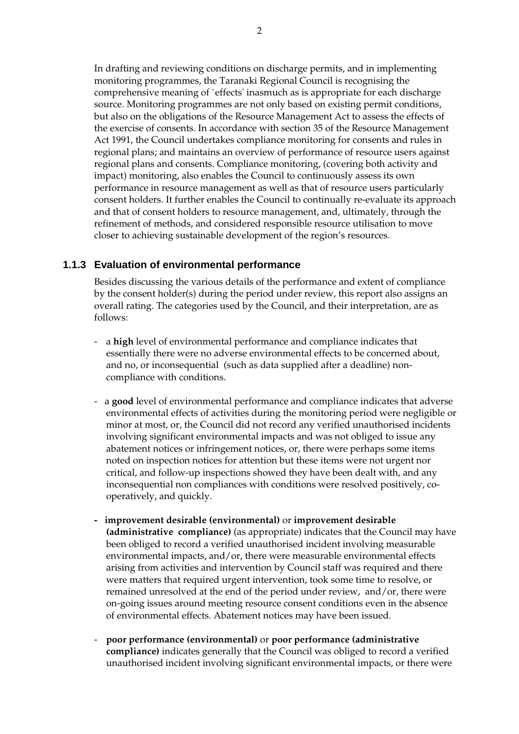In drafting and reviewing conditions on discharge permits, and in implementing monitoring programmes, the Taranaki Regional Council is recognising the comprehensive meaning of `effects' inasmuch as is appropriate for each discharge source. Monitoring programmes are not only based on existing permit conditions, but also on the obligations of the Resource Management Act to assess the effects of the exercise of consents. In accordance with section 35 of the Resource Management Act 1991, the Council undertakes compliance monitoring for consents and rules in regional plans; and maintains an overview of performance of resource users against regional plans and consents. Compliance monitoring, (covering both activity and impact) monitoring, also enables the Council to continuously assess its own performance in resource management as well as that of resource users particularly consent holders. It further enables the Council to continually re-evaluate its approach and that of consent holders to resource management, and, ultimately, through the refinement of methods, and considered responsible resource utilisation to move closer to achieving sustainable development of the region's resources.

## **1.1.3 Evaluation of environmental performance**

Besides discussing the various details of the performance and extent of compliance by the consent holder(s) during the period under review, this report also assigns an overall rating. The categories used by the Council, and their interpretation, are as follows:

- a **high** level of environmental performance and compliance indicates that essentially there were no adverse environmental effects to be concerned about, and no, or inconsequential (such as data supplied after a deadline) noncompliance with conditions.
- a **good** level of environmental performance and compliance indicates that adverse environmental effects of activities during the monitoring period were negligible or minor at most, or, the Council did not record any verified unauthorised incidents involving significant environmental impacts and was not obliged to issue any abatement notices or infringement notices, or, there were perhaps some items noted on inspection notices for attention but these items were not urgent nor critical, and follow-up inspections showed they have been dealt with, and any inconsequential non compliances with conditions were resolved positively, cooperatively, and quickly.
- **improvement desirable (environmental)** or **improvement desirable (administrative compliance)** (as appropriate) indicates that the Council may have been obliged to record a verified unauthorised incident involving measurable environmental impacts, and/or, there were measurable environmental effects arising from activities and intervention by Council staff was required and there were matters that required urgent intervention, took some time to resolve, or remained unresolved at the end of the period under review, and/or, there were on-going issues around meeting resource consent conditions even in the absence of environmental effects. Abatement notices may have been issued.
- **poor performance (environmental)** or **poor performance (administrative compliance)** indicates generally that the Council was obliged to record a verified unauthorised incident involving significant environmental impacts, or there were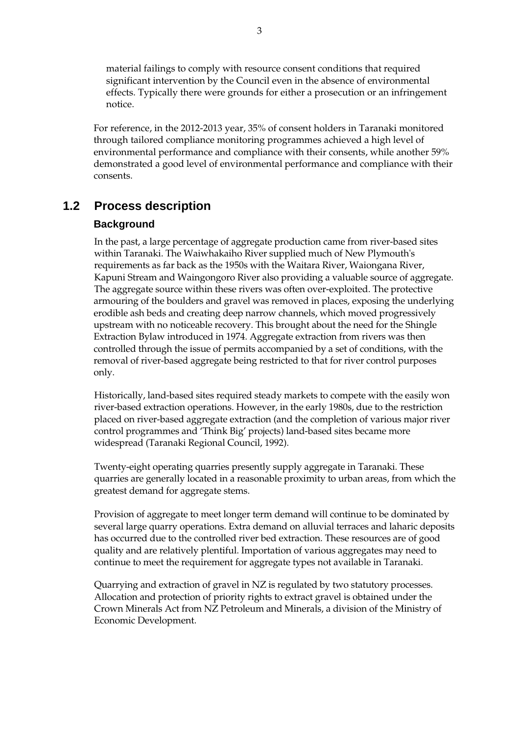material failings to comply with resource consent conditions that required significant intervention by the Council even in the absence of environmental effects. Typically there were grounds for either a prosecution or an infringement notice.

For reference, in the 2012-2013 year, 35% of consent holders in Taranaki monitored through tailored compliance monitoring programmes achieved a high level of environmental performance and compliance with their consents, while another 59% demonstrated a good level of environmental performance and compliance with their consents.

## **1.2 Process description**

## **Background**

In the past, a large percentage of aggregate production came from river-based sites within Taranaki. The Waiwhakaiho River supplied much of New Plymouth's requirements as far back as the 1950s with the Waitara River, Waiongana River, Kapuni Stream and Waingongoro River also providing a valuable source of aggregate. The aggregate source within these rivers was often over-exploited. The protective armouring of the boulders and gravel was removed in places, exposing the underlying erodible ash beds and creating deep narrow channels, which moved progressively upstream with no noticeable recovery. This brought about the need for the Shingle Extraction Bylaw introduced in 1974. Aggregate extraction from rivers was then controlled through the issue of permits accompanied by a set of conditions, with the removal of river-based aggregate being restricted to that for river control purposes only.

Historically, land-based sites required steady markets to compete with the easily won river-based extraction operations. However, in the early 1980s, due to the restriction placed on river-based aggregate extraction (and the completion of various major river control programmes and 'Think Big' projects) land-based sites became more widespread (Taranaki Regional Council, 1992).

Twenty-eight operating quarries presently supply aggregate in Taranaki. These quarries are generally located in a reasonable proximity to urban areas, from which the greatest demand for aggregate stems.

Provision of aggregate to meet longer term demand will continue to be dominated by several large quarry operations. Extra demand on alluvial terraces and laharic deposits has occurred due to the controlled river bed extraction. These resources are of good quality and are relatively plentiful. Importation of various aggregates may need to continue to meet the requirement for aggregate types not available in Taranaki.

Quarrying and extraction of gravel in NZ is regulated by two statutory processes. Allocation and protection of priority rights to extract gravel is obtained under the Crown Minerals Act from NZ Petroleum and Minerals, a division of the Ministry of Economic Development.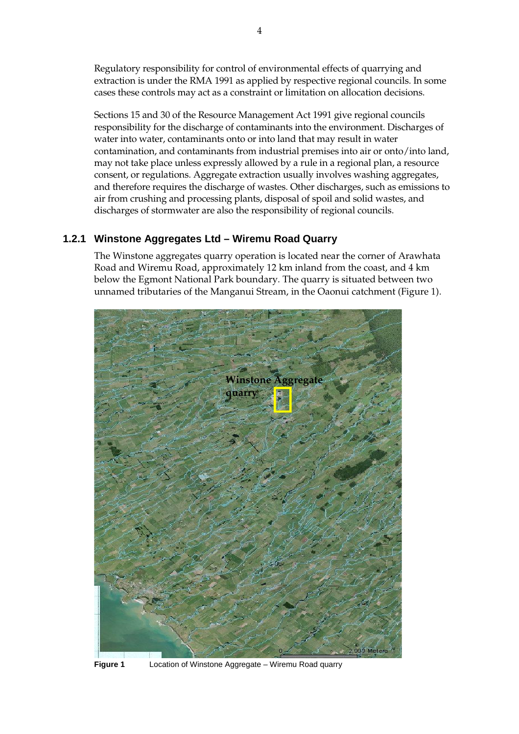Regulatory responsibility for control of environmental effects of quarrying and extraction is under the RMA 1991 as applied by respective regional councils. In some cases these controls may act as a constraint or limitation on allocation decisions.

Sections 15 and 30 of the Resource Management Act 1991 give regional councils responsibility for the discharge of contaminants into the environment. Discharges of water into water, contaminants onto or into land that may result in water contamination, and contaminants from industrial premises into air or onto/into land, may not take place unless expressly allowed by a rule in a regional plan, a resource consent, or regulations. Aggregate extraction usually involves washing aggregates, and therefore requires the discharge of wastes. Other discharges, such as emissions to air from crushing and processing plants, disposal of spoil and solid wastes, and discharges of stormwater are also the responsibility of regional councils.

## **1.2.1 Winstone Aggregates Ltd – Wiremu Road Quarry**

The Winstone aggregates quarry operation is located near the corner of Arawhata Road and Wiremu Road, approximately 12 km inland from the coast, and 4 km below the Egmont National Park boundary. The quarry is situated between two unnamed tributaries of the Manganui Stream, in the Oaonui catchment (Figure 1).



**Figure 1** Location of Winstone Aggregate – Wiremu Road quarry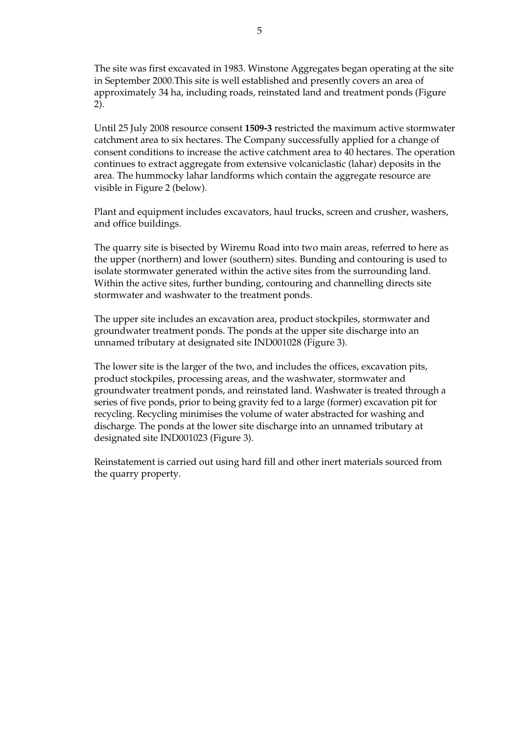The site was first excavated in 1983. Winstone Aggregates began operating at the site in September 2000.This site is well established and presently covers an area of approximately 34 ha, including roads, reinstated land and treatment ponds (Figure 2).

Until 25 July 2008 resource consent **1509-3** restricted the maximum active stormwater catchment area to six hectares. The Company successfully applied for a change of consent conditions to increase the active catchment area to 40 hectares. The operation continues to extract aggregate from extensive volcaniclastic (lahar) deposits in the area. The hummocky lahar landforms which contain the aggregate resource are visible in Figure 2 (below).

Plant and equipment includes excavators, haul trucks, screen and crusher, washers, and office buildings.

 The quarry site is bisected by Wiremu Road into two main areas, referred to here as the upper (northern) and lower (southern) sites. Bunding and contouring is used to isolate stormwater generated within the active sites from the surrounding land. Within the active sites, further bunding, contouring and channelling directs site stormwater and washwater to the treatment ponds.

 The upper site includes an excavation area, product stockpiles, stormwater and groundwater treatment ponds. The ponds at the upper site discharge into an unnamed tributary at designated site IND001028 (Figure 3).

 The lower site is the larger of the two, and includes the offices, excavation pits, product stockpiles, processing areas, and the washwater, stormwater and groundwater treatment ponds, and reinstated land. Washwater is treated through a series of five ponds, prior to being gravity fed to a large (former) excavation pit for recycling. Recycling minimises the volume of water abstracted for washing and discharge. The ponds at the lower site discharge into an unnamed tributary at designated site IND001023 (Figure 3).

 Reinstatement is carried out using hard fill and other inert materials sourced from the quarry property.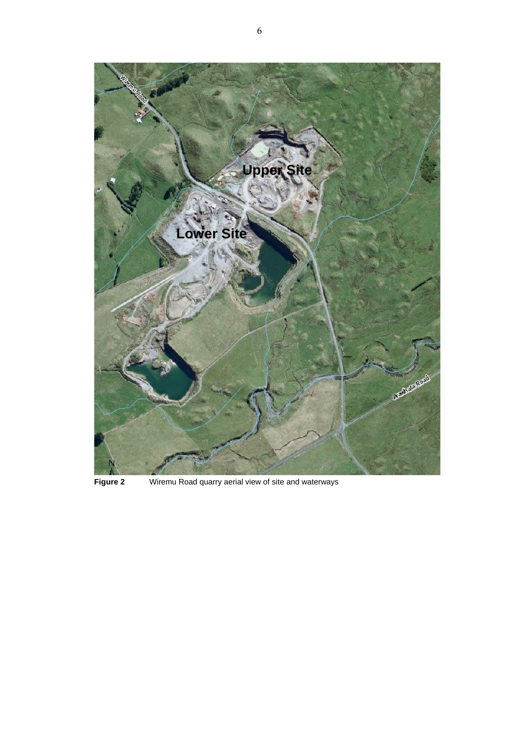

**Figure 2** Wiremu Road quarry aerial view of site and waterways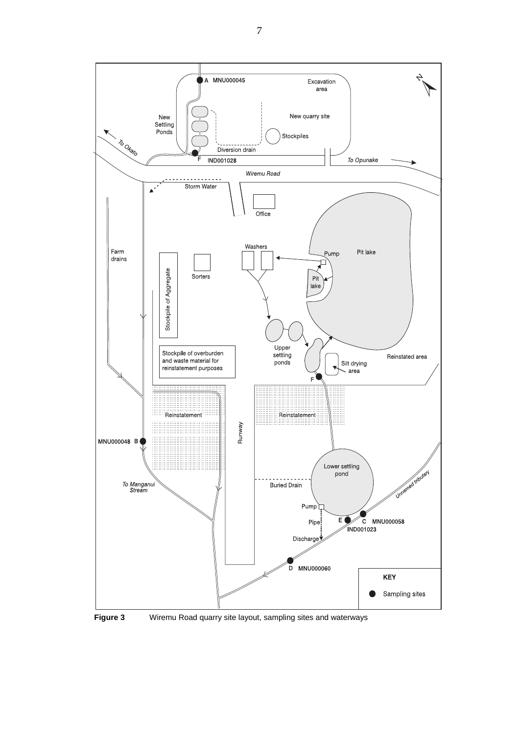

**Figure 3** Wiremu Road quarry site layout, sampling sites and waterways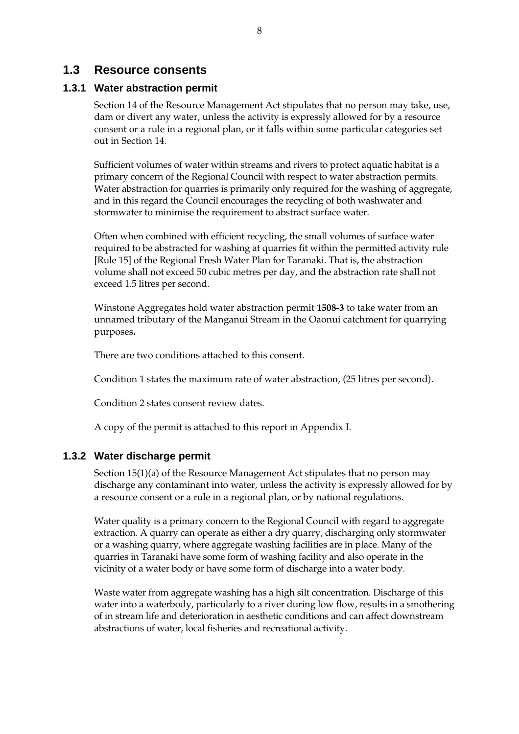## **1.3 Resource consents**

#### **1.3.1 Water abstraction permit**

Section 14 of the Resource Management Act stipulates that no person may take, use, dam or divert any water, unless the activity is expressly allowed for by a resource consent or a rule in a regional plan, or it falls within some particular categories set out in Section 14.

Sufficient volumes of water within streams and rivers to protect aquatic habitat is a primary concern of the Regional Council with respect to water abstraction permits. Water abstraction for quarries is primarily only required for the washing of aggregate, and in this regard the Council encourages the recycling of both washwater and stormwater to minimise the requirement to abstract surface water.

Often when combined with efficient recycling, the small volumes of surface water required to be abstracted for washing at quarries fit within the permitted activity rule [Rule 15] of the Regional Fresh Water Plan for Taranaki. That is, the abstraction volume shall not exceed 50 cubic metres per day, and the abstraction rate shall not exceed 1.5 litres per second.

Winstone Aggregates hold water abstraction permit **1508-3** to take water from an unnamed tributary of the Manganui Stream in the Oaonui catchment for quarrying purposes**.** 

There are two conditions attached to this consent.

Condition 1 states the maximum rate of water abstraction, (25 litres per second).

Condition 2 states consent review dates.

A copy of the permit is attached to this report in Appendix I.

#### **1.3.2 Water discharge permit**

Section 15(1)(a) of the Resource Management Act stipulates that no person may discharge any contaminant into water, unless the activity is expressly allowed for by a resource consent or a rule in a regional plan, or by national regulations.

 Water quality is a primary concern to the Regional Council with regard to aggregate extraction. A quarry can operate as either a dry quarry, discharging only stormwater or a washing quarry, where aggregate washing facilities are in place. Many of the quarries in Taranaki have some form of washing facility and also operate in the vicinity of a water body or have some form of discharge into a water body.

 Waste water from aggregate washing has a high silt concentration. Discharge of this water into a waterbody, particularly to a river during low flow, results in a smothering of in stream life and deterioration in aesthetic conditions and can affect downstream abstractions of water, local fisheries and recreational activity.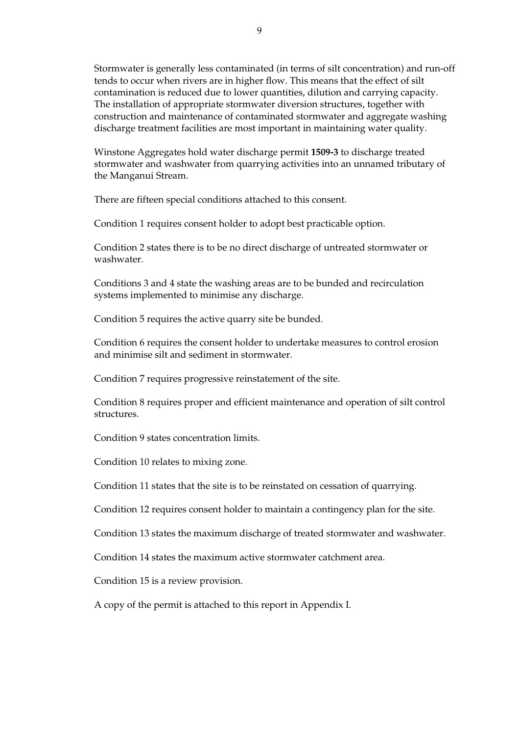Stormwater is generally less contaminated (in terms of silt concentration) and run-off tends to occur when rivers are in higher flow. This means that the effect of silt contamination is reduced due to lower quantities, dilution and carrying capacity. The installation of appropriate stormwater diversion structures, together with construction and maintenance of contaminated stormwater and aggregate washing discharge treatment facilities are most important in maintaining water quality.

Winstone Aggregates hold water discharge permit **1509-3** to discharge treated stormwater and washwater from quarrying activities into an unnamed tributary of the Manganui Stream.

There are fifteen special conditions attached to this consent.

Condition 1 requires consent holder to adopt best practicable option.

Condition 2 states there is to be no direct discharge of untreated stormwater or washwater.

Conditions 3 and 4 state the washing areas are to be bunded and recirculation systems implemented to minimise any discharge.

Condition 5 requires the active quarry site be bunded.

Condition 6 requires the consent holder to undertake measures to control erosion and minimise silt and sediment in stormwater.

Condition 7 requires progressive reinstatement of the site.

Condition 8 requires proper and efficient maintenance and operation of silt control structures.

Condition 9 states concentration limits.

Condition 10 relates to mixing zone.

Condition 11 states that the site is to be reinstated on cessation of quarrying.

Condition 12 requires consent holder to maintain a contingency plan for the site.

Condition 13 states the maximum discharge of treated stormwater and washwater.

Condition 14 states the maximum active stormwater catchment area.

Condition 15 is a review provision.

A copy of the permit is attached to this report in Appendix I.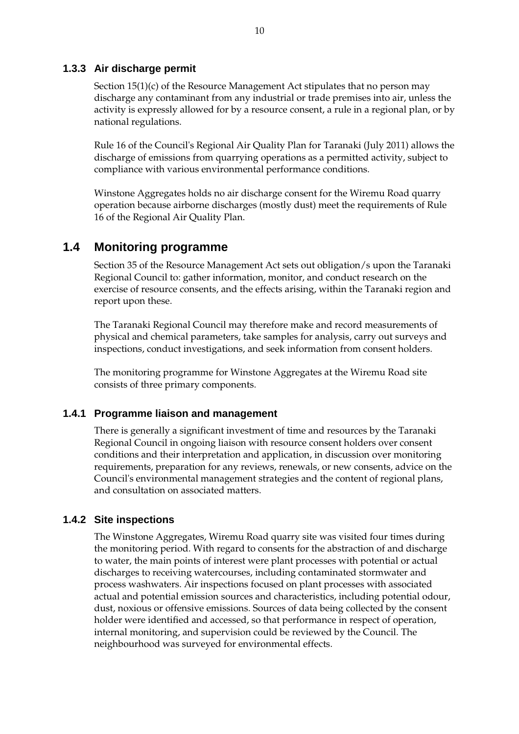#### **1.3.3 Air discharge permit**

Section 15(1)(c) of the Resource Management Act stipulates that no person may discharge any contaminant from any industrial or trade premises into air, unless the activity is expressly allowed for by a resource consent, a rule in a regional plan, or by national regulations.

Rule 16 of the Council's Regional Air Quality Plan for Taranaki (July 2011) allows the discharge of emissions from quarrying operations as a permitted activity, subject to compliance with various environmental performance conditions.

Winstone Aggregates holds no air discharge consent for the Wiremu Road quarry operation because airborne discharges (mostly dust) meet the requirements of Rule 16 of the Regional Air Quality Plan.

## **1.4 Monitoring programme**

Section 35 of the Resource Management Act sets out obligation/s upon the Taranaki Regional Council to: gather information, monitor, and conduct research on the exercise of resource consents, and the effects arising, within the Taranaki region and report upon these.

The Taranaki Regional Council may therefore make and record measurements of physical and chemical parameters, take samples for analysis, carry out surveys and inspections, conduct investigations, and seek information from consent holders.

The monitoring programme for Winstone Aggregates at the Wiremu Road site consists of three primary components.

#### **1.4.1 Programme liaison and management**

There is generally a significant investment of time and resources by the Taranaki Regional Council in ongoing liaison with resource consent holders over consent conditions and their interpretation and application, in discussion over monitoring requirements, preparation for any reviews, renewals, or new consents, advice on the Council's environmental management strategies and the content of regional plans, and consultation on associated matters.

#### **1.4.2 Site inspections**

The Winstone Aggregates, Wiremu Road quarry site was visited four times during the monitoring period. With regard to consents for the abstraction of and discharge to water, the main points of interest were plant processes with potential or actual discharges to receiving watercourses, including contaminated stormwater and process washwaters. Air inspections focused on plant processes with associated actual and potential emission sources and characteristics, including potential odour, dust, noxious or offensive emissions. Sources of data being collected by the consent holder were identified and accessed, so that performance in respect of operation, internal monitoring, and supervision could be reviewed by the Council. The neighbourhood was surveyed for environmental effects.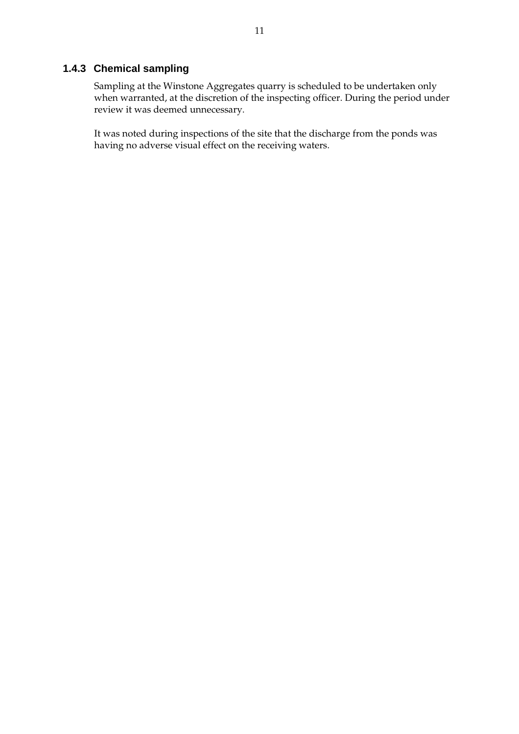## **1.4.3 Chemical sampling**

Sampling at the Winstone Aggregates quarry is scheduled to be undertaken only when warranted, at the discretion of the inspecting officer. During the period under review it was deemed unnecessary.

It was noted during inspections of the site that the discharge from the ponds was having no adverse visual effect on the receiving waters.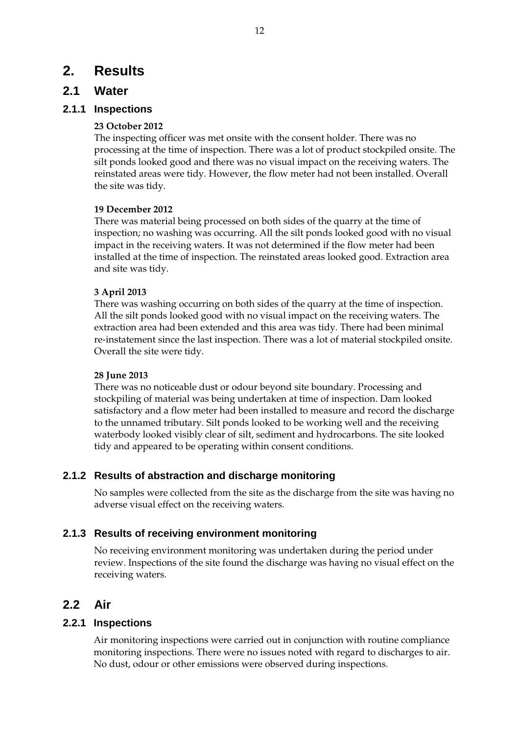## **2. Results**

## **2.1 Water**

## **2.1.1 Inspections**

#### **23 October 2012**

The inspecting officer was met onsite with the consent holder. There was no processing at the time of inspection. There was a lot of product stockpiled onsite. The silt ponds looked good and there was no visual impact on the receiving waters. The reinstated areas were tidy. However, the flow meter had not been installed. Overall the site was tidy.

#### **19 December 2012**

There was material being processed on both sides of the quarry at the time of inspection; no washing was occurring. All the silt ponds looked good with no visual impact in the receiving waters. It was not determined if the flow meter had been installed at the time of inspection. The reinstated areas looked good. Extraction area and site was tidy.

## **3 April 2013**

There was washing occurring on both sides of the quarry at the time of inspection. All the silt ponds looked good with no visual impact on the receiving waters. The extraction area had been extended and this area was tidy. There had been minimal re-instatement since the last inspection. There was a lot of material stockpiled onsite. Overall the site were tidy.

#### **28 June 2013**

There was no noticeable dust or odour beyond site boundary. Processing and stockpiling of material was being undertaken at time of inspection. Dam looked satisfactory and a flow meter had been installed to measure and record the discharge to the unnamed tributary. Silt ponds looked to be working well and the receiving waterbody looked visibly clear of silt, sediment and hydrocarbons. The site looked tidy and appeared to be operating within consent conditions.

## **2.1.2 Results of abstraction and discharge monitoring**

No samples were collected from the site as the discharge from the site was having no adverse visual effect on the receiving waters.

## **2.1.3 Results of receiving environment monitoring**

No receiving environment monitoring was undertaken during the period under review. Inspections of the site found the discharge was having no visual effect on the receiving waters.

## **2.2 Air**

## **2.2.1 Inspections**

Air monitoring inspections were carried out in conjunction with routine compliance monitoring inspections. There were no issues noted with regard to discharges to air. No dust, odour or other emissions were observed during inspections.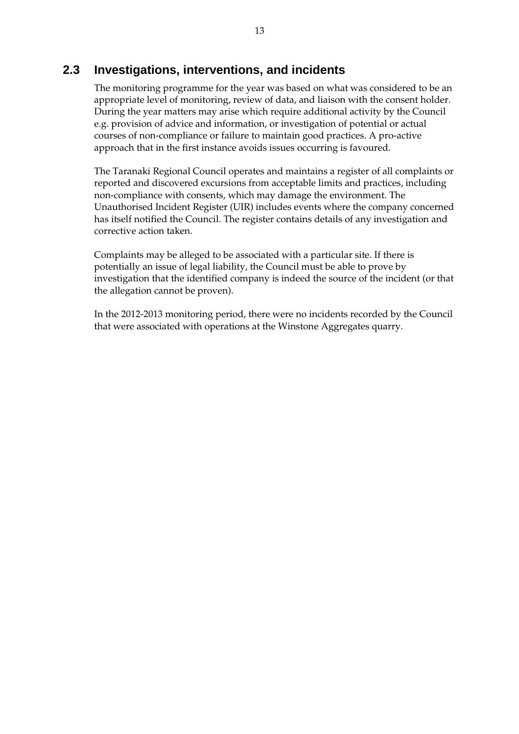## **2.3 Investigations, interventions, and incidents**

The monitoring programme for the year was based on what was considered to be an appropriate level of monitoring, review of data, and liaison with the consent holder. During the year matters may arise which require additional activity by the Council e.g. provision of advice and information, or investigation of potential or actual courses of non-compliance or failure to maintain good practices. A pro-active approach that in the first instance avoids issues occurring is favoured.

The Taranaki Regional Council operates and maintains a register of all complaints or reported and discovered excursions from acceptable limits and practices, including non-compliance with consents, which may damage the environment. The Unauthorised Incident Register (UIR) includes events where the company concerned has itself notified the Council. The register contains details of any investigation and corrective action taken.

Complaints may be alleged to be associated with a particular site. If there is potentially an issue of legal liability, the Council must be able to prove by investigation that the identified company is indeed the source of the incident (or that the allegation cannot be proven).

In the 2012-2013 monitoring period, there were no incidents recorded by the Council that were associated with operations at the Winstone Aggregates quarry.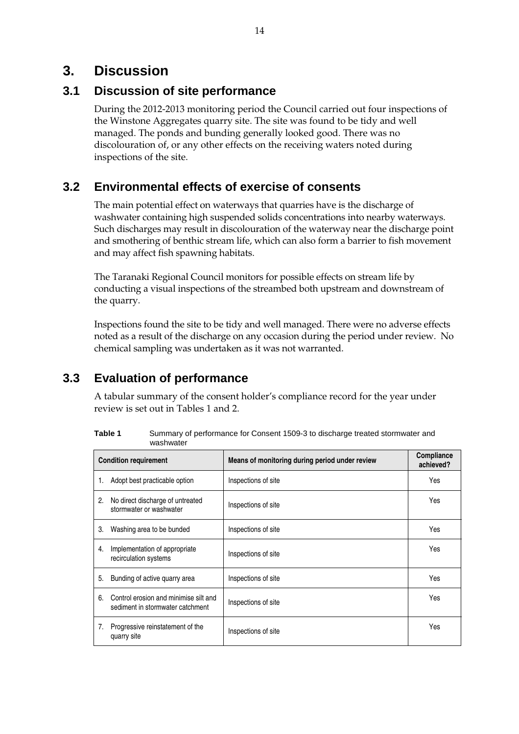## **3. Discussion**

## **3.1 Discussion of site performance**

During the 2012-2013 monitoring period the Council carried out four inspections of the Winstone Aggregates quarry site. The site was found to be tidy and well managed. The ponds and bunding generally looked good. There was no discolouration of, or any other effects on the receiving waters noted during inspections of the site.

## **3.2 Environmental effects of exercise of consents**

The main potential effect on waterways that quarries have is the discharge of washwater containing high suspended solids concentrations into nearby waterways. Such discharges may result in discolouration of the waterway near the discharge point and smothering of benthic stream life, which can also form a barrier to fish movement and may affect fish spawning habitats.

The Taranaki Regional Council monitors for possible effects on stream life by conducting a visual inspections of the streambed both upstream and downstream of the quarry.

Inspections found the site to be tidy and well managed. There were no adverse effects noted as a result of the discharge on any occasion during the period under review. No chemical sampling was undertaken as it was not warranted.

## **3.3 Evaluation of performance**

A tabular summary of the consent holder's compliance record for the year under review is set out in Tables 1 and 2.

| Table 1 | Summary of performance for Consent 1509-3 to discharge treated stormwater and |
|---------|-------------------------------------------------------------------------------|
|         | washwater                                                                     |

|    | <b>Condition requirement</b>                                              | Means of monitoring during period under review | <b>Compliance</b><br>achieved? |
|----|---------------------------------------------------------------------------|------------------------------------------------|--------------------------------|
| 1. | Adopt best practicable option                                             | Inspections of site                            | Yes                            |
| 2. | No direct discharge of untreated<br>stormwater or washwater               | Inspections of site                            | Yes                            |
| 3. | Washing area to be bunded                                                 | Inspections of site                            | Yes                            |
| 4. | Implementation of appropriate<br>recirculation systems                    | Inspections of site                            | Yes                            |
| 5. | Bunding of active quarry area                                             | Inspections of site                            | Yes                            |
| 6. | Control erosion and minimise silt and<br>sediment in stormwater catchment | Inspections of site                            | Yes                            |
| 7. | Progressive reinstatement of the<br>quarry site                           | Inspections of site                            | Yes                            |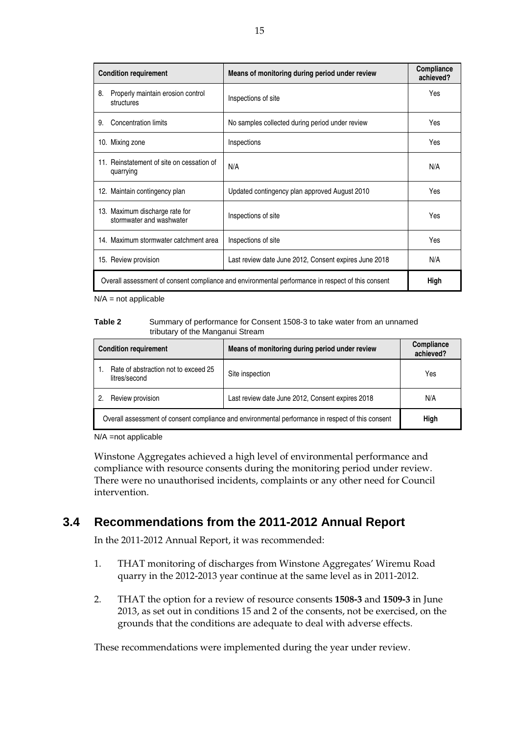| <b>Condition requirement</b> |                                                                                                           | Means of monitoring during period under review        | Compliance<br>achieved? |
|------------------------------|-----------------------------------------------------------------------------------------------------------|-------------------------------------------------------|-------------------------|
| 8.                           | Properly maintain erosion control<br>structures                                                           | Inspections of site                                   | Yes                     |
| 9.                           | Concentration limits                                                                                      | No samples collected during period under review       | Yes                     |
|                              | 10. Mixing zone                                                                                           | Inspections                                           | Yes                     |
|                              | 11. Reinstatement of site on cessation of<br>quarrying                                                    | N/A                                                   | N/A                     |
|                              | 12. Maintain contingency plan                                                                             | Updated contingency plan approved August 2010         | Yes                     |
|                              | 13. Maximum discharge rate for<br>stormwater and washwater                                                | Inspections of site                                   | Yes                     |
|                              | 14. Maximum stormwater catchment area                                                                     | Inspections of site                                   | Yes                     |
|                              | 15. Review provision                                                                                      | Last review date June 2012, Consent expires June 2018 | N/A                     |
|                              | Overall assessment of consent compliance and environmental performance in respect of this consent<br>High |                                                       |                         |

 $N/A$  = not applicable

#### **Table 2** Summary of performance for Consent 1508-3 to take water from an unnamed tributary of the Manganui Stream

| <b>Condition requirement</b>                                                                              | Means of monitoring during period under review   | Compliance<br>achieved? |
|-----------------------------------------------------------------------------------------------------------|--------------------------------------------------|-------------------------|
| Rate of abstraction not to exceed 25<br>litres/second                                                     | Site inspection                                  | Yes                     |
| Review provision                                                                                          | Last review date June 2012, Consent expires 2018 | N/A                     |
| Overall assessment of consent compliance and environmental performance in respect of this consent<br>High |                                                  |                         |

N/A =not applicable

Winstone Aggregates achieved a high level of environmental performance and compliance with resource consents during the monitoring period under review. There were no unauthorised incidents, complaints or any other need for Council intervention.

## **3.4 Recommendations from the 2011-2012 Annual Report**

In the 2011-2012 Annual Report, it was recommended:

- 1. THAT monitoring of discharges from Winstone Aggregates' Wiremu Road quarry in the 2012-2013 year continue at the same level as in 2011-2012.
- 2. THAT the option for a review of resource consents **1508-3** and **1509-3** in June 2013, as set out in conditions 15 and 2 of the consents, not be exercised, on the grounds that the conditions are adequate to deal with adverse effects.

These recommendations were implemented during the year under review.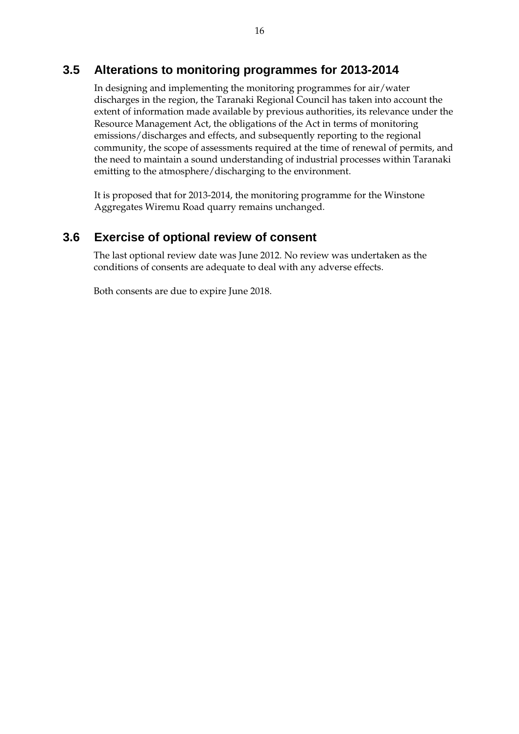## **3.5 Alterations to monitoring programmes for 2013-2014**

In designing and implementing the monitoring programmes for air/water discharges in the region, the Taranaki Regional Council has taken into account the extent of information made available by previous authorities, its relevance under the Resource Management Act, the obligations of the Act in terms of monitoring emissions/discharges and effects, and subsequently reporting to the regional community, the scope of assessments required at the time of renewal of permits, and the need to maintain a sound understanding of industrial processes within Taranaki emitting to the atmosphere/discharging to the environment.

It is proposed that for 2013-2014, the monitoring programme for the Winstone Aggregates Wiremu Road quarry remains unchanged.

## **3.6 Exercise of optional review of consent**

The last optional review date was June 2012. No review was undertaken as the conditions of consents are adequate to deal with any adverse effects.

Both consents are due to expire June 2018.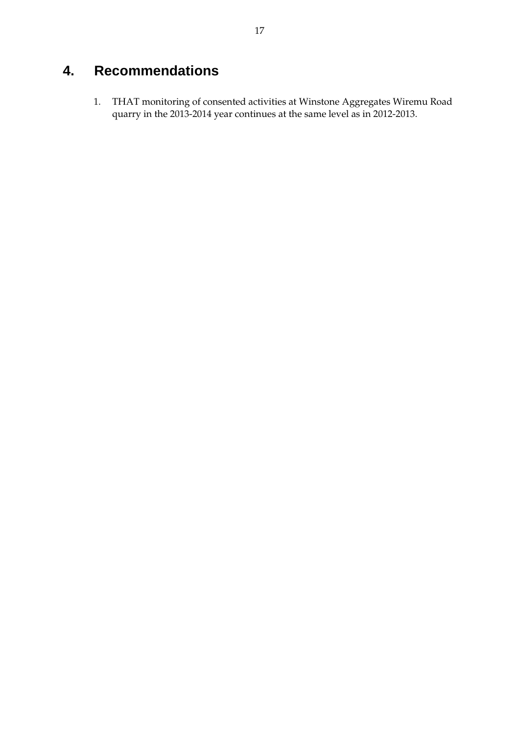# **4. Recommendations**

1. THAT monitoring of consented activities at Winstone Aggregates Wiremu Road quarry in the 2013-2014 year continues at the same level as in 2012-2013.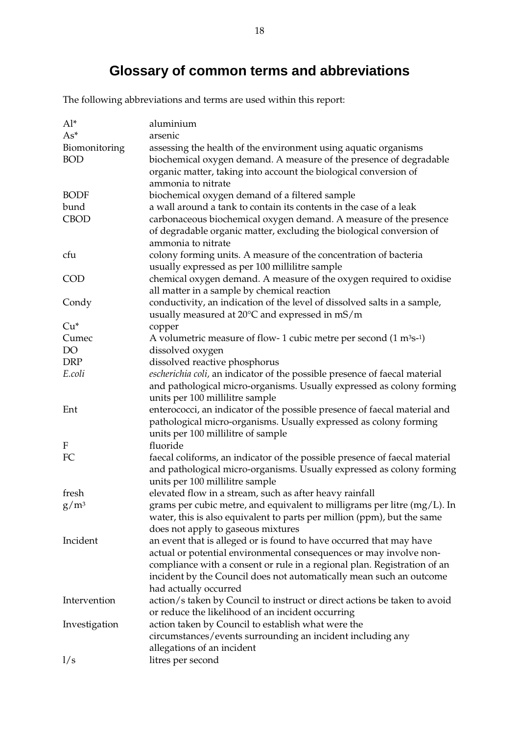# **Glossary of common terms and abbreviations**

The following abbreviations and terms are used within this report:

| $Al^*$        | aluminium                                                                                    |
|---------------|----------------------------------------------------------------------------------------------|
| $As*$         | arsenic                                                                                      |
| Biomonitoring | assessing the health of the environment using aquatic organisms                              |
| <b>BOD</b>    | biochemical oxygen demand. A measure of the presence of degradable                           |
|               | organic matter, taking into account the biological conversion of                             |
|               | ammonia to nitrate                                                                           |
| <b>BODF</b>   | biochemical oxygen demand of a filtered sample                                               |
| bund          | a wall around a tank to contain its contents in the case of a leak                           |
| <b>CBOD</b>   | carbonaceous biochemical oxygen demand. A measure of the presence                            |
|               | of degradable organic matter, excluding the biological conversion of                         |
|               | ammonia to nitrate                                                                           |
| cfu           | colony forming units. A measure of the concentration of bacteria                             |
|               | usually expressed as per 100 millilitre sample                                               |
| <b>COD</b>    | chemical oxygen demand. A measure of the oxygen required to oxidise                          |
|               | all matter in a sample by chemical reaction                                                  |
| Condy         | conductivity, an indication of the level of dissolved salts in a sample,                     |
|               | usually measured at $20^{\circ}$ C and expressed in mS/m                                     |
| $Cu*$         | copper                                                                                       |
| Cumec         | A volumetric measure of flow- 1 cubic metre per second $(1 \text{ m}^3 \text{s}^{-1})$       |
| <b>DO</b>     | dissolved oxygen                                                                             |
| <b>DRP</b>    | dissolved reactive phosphorus                                                                |
| E.coli        | escherichia coli, an indicator of the possible presence of faecal material                   |
|               | and pathological micro-organisms. Usually expressed as colony forming                        |
|               | units per 100 millilitre sample                                                              |
| Ent           | enterococci, an indicator of the possible presence of faecal material and                    |
|               | pathological micro-organisms. Usually expressed as colony forming                            |
|               | units per 100 millilitre of sample                                                           |
| F             | fluoride                                                                                     |
| FC            | faecal coliforms, an indicator of the possible presence of faecal material                   |
|               | and pathological micro-organisms. Usually expressed as colony forming                        |
|               | units per 100 millilitre sample                                                              |
| fresh         | elevated flow in a stream, such as after heavy rainfall                                      |
| $\rm g/m^3$   | grams per cubic metre, and equivalent to milligrams per litre (mg/L). In                     |
|               | water, this is also equivalent to parts per million (ppm), but the same                      |
|               | does not apply to gaseous mixtures                                                           |
| Incident      | an event that is alleged or is found to have occurred that may have                          |
|               | actual or potential environmental consequences or may involve non-                           |
|               | compliance with a consent or rule in a regional plan. Registration of an                     |
|               | incident by the Council does not automatically mean such an outcome<br>had actually occurred |
| Intervention  | action/s taken by Council to instruct or direct actions be taken to avoid                    |
|               | or reduce the likelihood of an incident occurring                                            |
| Investigation | action taken by Council to establish what were the                                           |
|               | circumstances/events surrounding an incident including any                                   |
|               | allegations of an incident                                                                   |
| 1/s           | litres per second                                                                            |
|               |                                                                                              |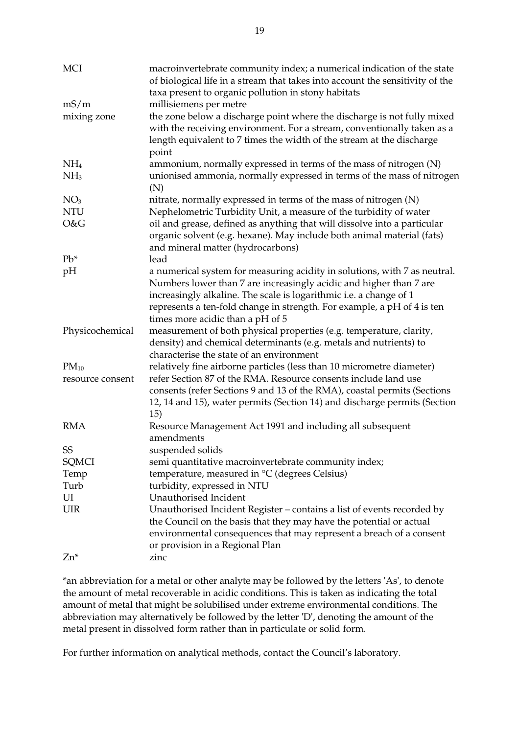| <b>MCI</b>       | macroinvertebrate community index; a numerical indication of the state<br>of biological life in a stream that takes into account the sensitivity of the<br>taxa present to organic pollution in stony habitats                                                                                                                       |
|------------------|--------------------------------------------------------------------------------------------------------------------------------------------------------------------------------------------------------------------------------------------------------------------------------------------------------------------------------------|
| mS/m             | millisiemens per metre                                                                                                                                                                                                                                                                                                               |
| mixing zone      | the zone below a discharge point where the discharge is not fully mixed<br>with the receiving environment. For a stream, conventionally taken as a<br>length equivalent to 7 times the width of the stream at the discharge<br>point                                                                                                 |
| NH <sub>4</sub>  | ammonium, normally expressed in terms of the mass of nitrogen (N)                                                                                                                                                                                                                                                                    |
| NH <sub>3</sub>  | unionised ammonia, normally expressed in terms of the mass of nitrogen<br>(N)                                                                                                                                                                                                                                                        |
| NO <sub>3</sub>  | nitrate, normally expressed in terms of the mass of nitrogen (N)                                                                                                                                                                                                                                                                     |
| <b>NTU</b>       | Nephelometric Turbidity Unit, a measure of the turbidity of water                                                                                                                                                                                                                                                                    |
| O&G              | oil and grease, defined as anything that will dissolve into a particular<br>organic solvent (e.g. hexane). May include both animal material (fats)<br>and mineral matter (hydrocarbons)                                                                                                                                              |
| $Pb^*$           | lead                                                                                                                                                                                                                                                                                                                                 |
| pH               | a numerical system for measuring acidity in solutions, with 7 as neutral.<br>Numbers lower than 7 are increasingly acidic and higher than 7 are<br>increasingly alkaline. The scale is logarithmic i.e. a change of 1<br>represents a ten-fold change in strength. For example, a pH of 4 is ten<br>times more acidic than a pH of 5 |
| Physicochemical  | measurement of both physical properties (e.g. temperature, clarity,                                                                                                                                                                                                                                                                  |
|                  | density) and chemical determinants (e.g. metals and nutrients) to<br>characterise the state of an environment                                                                                                                                                                                                                        |
| $PM_{10}$        | relatively fine airborne particles (less than 10 micrometre diameter)                                                                                                                                                                                                                                                                |
| resource consent | refer Section 87 of the RMA. Resource consents include land use<br>consents (refer Sections 9 and 13 of the RMA), coastal permits (Sections<br>12, 14 and 15), water permits (Section 14) and discharge permits (Section<br>15)                                                                                                      |
| <b>RMA</b>       | Resource Management Act 1991 and including all subsequent<br>amendments                                                                                                                                                                                                                                                              |
| <b>SS</b>        | suspended solids                                                                                                                                                                                                                                                                                                                     |
| <b>SQMCI</b>     | semi quantitative macroinvertebrate community index;                                                                                                                                                                                                                                                                                 |
| Temp             | temperature, measured in °C (degrees Celsius)                                                                                                                                                                                                                                                                                        |
| Turb             | turbidity, expressed in NTU                                                                                                                                                                                                                                                                                                          |
| UI               | Unauthorised Incident                                                                                                                                                                                                                                                                                                                |
|                  |                                                                                                                                                                                                                                                                                                                                      |
| <b>UIR</b>       | Unauthorised Incident Register – contains a list of events recorded by<br>the Council on the basis that they may have the potential or actual<br>environmental consequences that may represent a breach of a consent<br>or provision in a Regional Plan                                                                              |
| $Zn^*$           | zinc                                                                                                                                                                                                                                                                                                                                 |

\*an abbreviation for a metal or other analyte may be followed by the letters 'As', to denote the amount of metal recoverable in acidic conditions. This is taken as indicating the total amount of metal that might be solubilised under extreme environmental conditions. The abbreviation may alternatively be followed by the letter 'D', denoting the amount of the metal present in dissolved form rather than in particulate or solid form.

For further information on analytical methods, contact the Council's laboratory.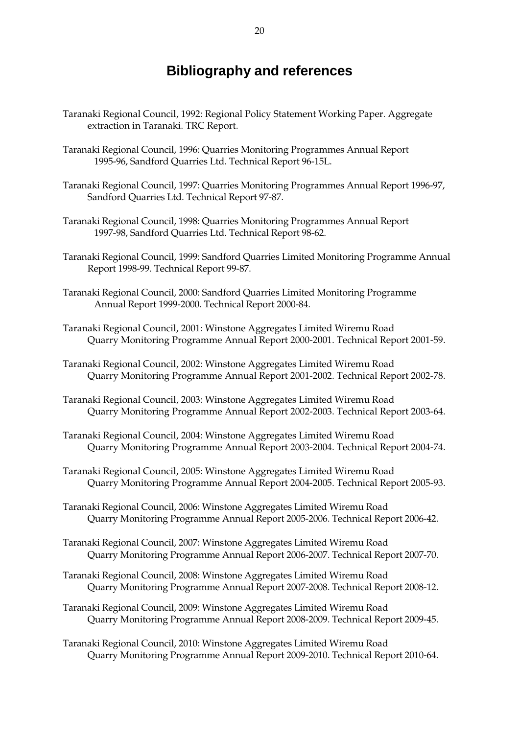## **Bibliography and references**

- Taranaki Regional Council, 1992: Regional Policy Statement Working Paper. Aggregate extraction in Taranaki. TRC Report.
- Taranaki Regional Council, 1996: Quarries Monitoring Programmes Annual Report 1995-96, Sandford Quarries Ltd. Technical Report 96-15L.
- Taranaki Regional Council, 1997: Quarries Monitoring Programmes Annual Report 1996-97, Sandford Quarries Ltd. Technical Report 97-87.
- Taranaki Regional Council, 1998: Quarries Monitoring Programmes Annual Report 1997-98, Sandford Quarries Ltd. Technical Report 98-62.
- Taranaki Regional Council, 1999: Sandford Quarries Limited Monitoring Programme Annual Report 1998-99. Technical Report 99-87.
- Taranaki Regional Council, 2000: Sandford Quarries Limited Monitoring Programme Annual Report 1999-2000. Technical Report 2000-84.
- Taranaki Regional Council, 2001: Winstone Aggregates Limited Wiremu Road Quarry Monitoring Programme Annual Report 2000-2001. Technical Report 2001-59.
- Taranaki Regional Council, 2002: Winstone Aggregates Limited Wiremu Road Quarry Monitoring Programme Annual Report 2001-2002. Technical Report 2002-78.
- Taranaki Regional Council, 2003: Winstone Aggregates Limited Wiremu Road Quarry Monitoring Programme Annual Report 2002-2003. Technical Report 2003-64.
- Taranaki Regional Council, 2004: Winstone Aggregates Limited Wiremu Road Quarry Monitoring Programme Annual Report 2003-2004. Technical Report 2004-74.
- Taranaki Regional Council, 2005: Winstone Aggregates Limited Wiremu Road Quarry Monitoring Programme Annual Report 2004-2005. Technical Report 2005-93.
- Taranaki Regional Council, 2006: Winstone Aggregates Limited Wiremu Road Quarry Monitoring Programme Annual Report 2005-2006. Technical Report 2006-42.
- Taranaki Regional Council, 2007: Winstone Aggregates Limited Wiremu Road Quarry Monitoring Programme Annual Report 2006-2007. Technical Report 2007-70.
- Taranaki Regional Council, 2008: Winstone Aggregates Limited Wiremu Road Quarry Monitoring Programme Annual Report 2007-2008. Technical Report 2008-12.
- Taranaki Regional Council, 2009: Winstone Aggregates Limited Wiremu Road Quarry Monitoring Programme Annual Report 2008-2009. Technical Report 2009-45.
- Taranaki Regional Council, 2010: Winstone Aggregates Limited Wiremu Road Quarry Monitoring Programme Annual Report 2009-2010. Technical Report 2010-64.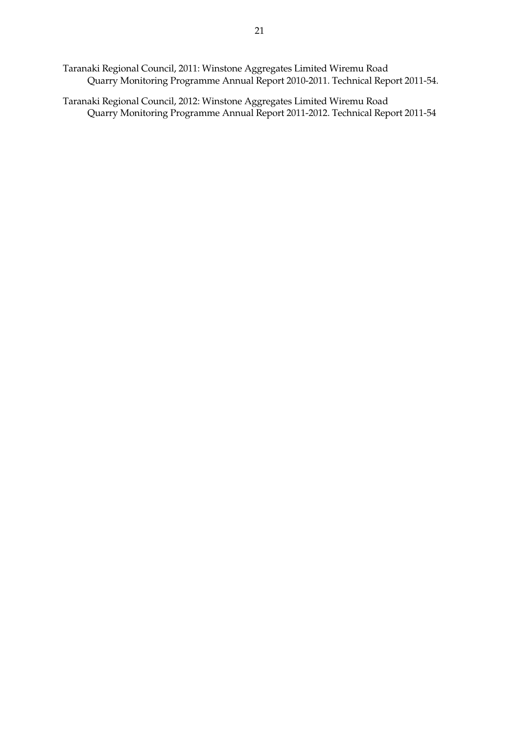Taranaki Regional Council, 2011: Winstone Aggregates Limited Wiremu Road Quarry Monitoring Programme Annual Report 2010-2011. Technical Report 2011-54.

Taranaki Regional Council, 2012: Winstone Aggregates Limited Wiremu Road Quarry Monitoring Programme Annual Report 2011-2012. Technical Report 2011-54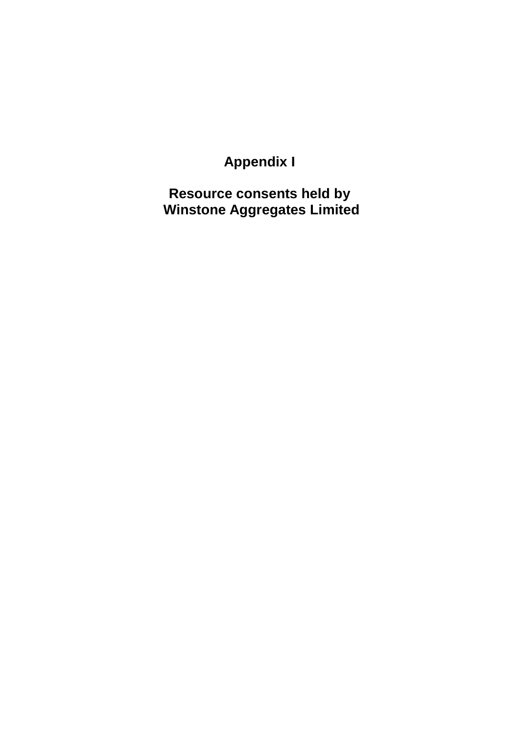**Appendix I** 

**Resource consents held by Winstone Aggregates Limited**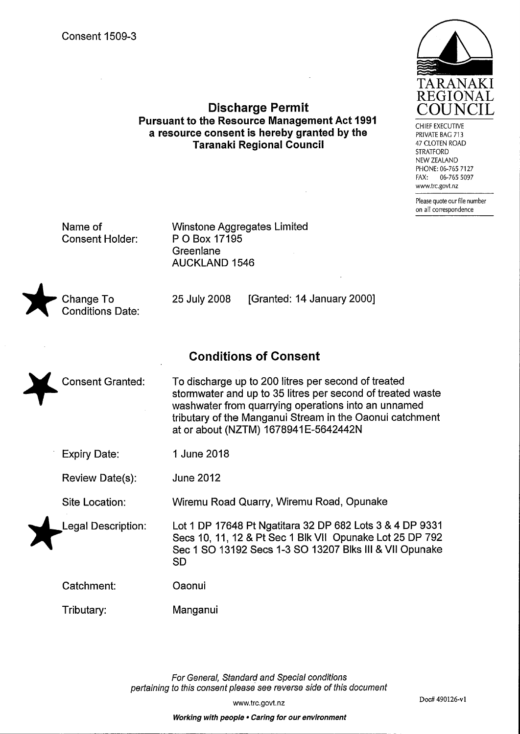| <b>Consent 1509-3</b> |  |
|-----------------------|--|
|-----------------------|--|

**Pursuant to the Resource Management Act 1991** a resource consent is hereby granted by the **Taranaki Regional Council** 

**Discharge Permit** 

PRIVATE BAG 713 47 CLOTEN ROAD **STRATFORD** NEW ZEALAND PHONE: 06-765 7127 06-765 5097  $FAX$ www.trc.govt.nz

CHIFF EXECUTIVE

Please quote our file number on all correspondence

Doc# 490126-v1

Name of **Consent Holder:**  **Winstone Aggregates Limited** P O Box 17195 Greenlane **AUCKLAND 1546** 

25 July 2008

Change To **Conditions Date:** 

## **Conditions of Consent**

To discharge up to 200 litres per second of treated Consent Granted: stormwater and up to 35 litres per second of treated waste washwater from quarrying operations into an unnamed tributary of the Manganui Stream in the Oaonui catchment at or about (NZTM) 1678941E-5642442N

**Expiry Date:** 1 June 2018

**June 2012 Review Date(s):** 

Site Location: Wiremu Road Quarry, Wiremu Road, Opunake

Oaonui

**Legal Description:** 

Lot 1 DP 17648 Pt Ngatitara 32 DP 682 Lots 3 & 4 DP 9331 Secs 10, 11, 12 & Pt Sec 1 Blk VII Opunake Lot 25 DP 792 Sec 1 SO 13192 Secs 1-3 SO 13207 Blks III & VII Opunake **SD** 

[Granted: 14 January 2000]

Catchment:

Tributary: Manganui

> For General, Standard and Special conditions pertaining to this consent please see reverse side of this document

> > www.trc.govt.nz

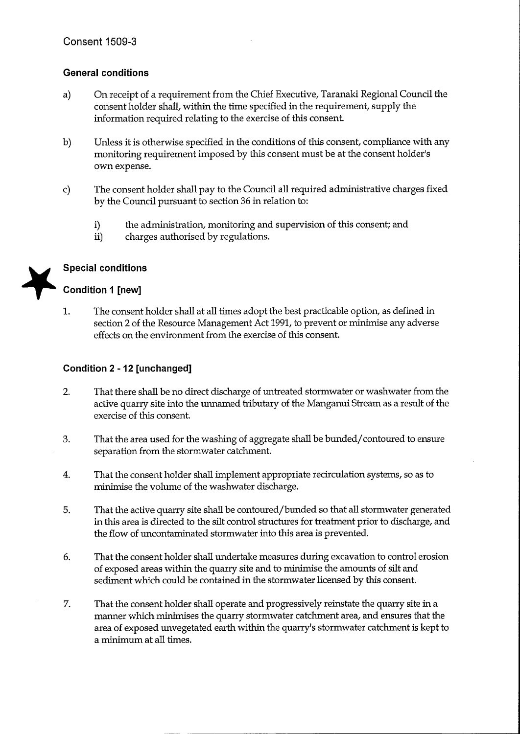## **General conditions**

- On receipt of a requirement from the Chief Executive, Taranaki Regional Council the  $a)$ consent holder shall, within the time specified in the requirement, supply the information required relating to the exercise of this consent.
- $b)$ Unless it is otherwise specified in the conditions of this consent, compliance with any monitoring requirement imposed by this consent must be at the consent holder's own expense.
- The consent holder shall pay to the Council all required administrative charges fixed  $\mathbf{c}$ by the Council pursuant to section 36 in relation to:
	- i) the administration, monitoring and supervision of this consent; and
	- ii) charges authorised by regulations.



## **Special conditions**

## **Condition 1 [new]**

1. The consent holder shall at all times adopt the best practicable option, as defined in section 2 of the Resource Management Act 1991, to prevent or minimise any adverse effects on the environment from the exercise of this consent.

## Condition 2 - 12 [unchanged]

- $2.$ That there shall be no direct discharge of untreated stormwater or washwater from the active quarry site into the unnamed tributary of the Manganui Stream as a result of the exercise of this consent.
- 3. That the area used for the washing of aggregate shall be bunded/contoured to ensure separation from the stormwater catchment.
- 4. That the consent holder shall implement appropriate recirculation systems, so as to minimise the volume of the washwater discharge.
- 5. That the active quarry site shall be contoured/bunded so that all stormwater generated in this area is directed to the silt control structures for treatment prior to discharge, and the flow of uncontaminated stormwater into this area is prevented.
- 6. That the consent holder shall undertake measures during excavation to control erosion of exposed areas within the quarry site and to minimise the amounts of silt and sediment which could be contained in the stormwater licensed by this consent.
- 7. That the consent holder shall operate and progressively reinstate the quarry site in a manner which minimises the quarry stormwater catchment area, and ensures that the area of exposed unvegetated earth within the quarry's stormwater catchment is kept to a minimum at all times.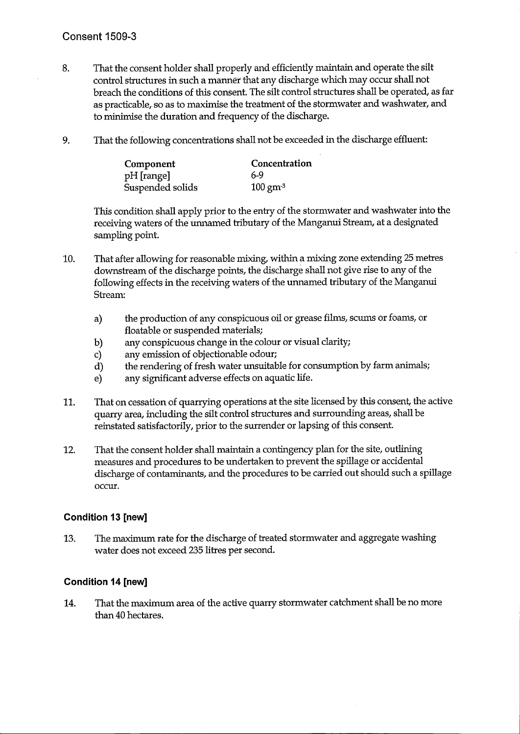## **Consent 1509-3**

- That the consent holder shall properly and efficiently maintain and operate the silt 8. control structures in such a manner that any discharge which may occur shall not breach the conditions of this consent. The silt control structures shall be operated, as far as practicable, so as to maximise the treatment of the stormwater and washwater, and to minimise the duration and frequency of the discharge.
- 9. That the following concentrations shall not be exceeded in the discharge effluent:

| Component        | Concentration      |  |
|------------------|--------------------|--|
| pH [range]       | 6-9                |  |
| Suspended solids | $100 \text{ gm}^3$ |  |

This condition shall apply prior to the entry of the stormwater and washwater into the receiving waters of the unnamed tributary of the Manganui Stream, at a designated sampling point.

- 10. That after allowing for reasonable mixing, within a mixing zone extending 25 metres downstream of the discharge points, the discharge shall not give rise to any of the following effects in the receiving waters of the unnamed tributary of the Manganui Stream:
	- the production of any conspicuous oil or grease films, scums or foams, or a) floatable or suspended materials;
	- any conspicuous change in the colour or visual clarity; b)
	- $c)$ any emission of objectionable odour;
	- the rendering of fresh water unsuitable for consumption by farm animals;  $d)$
	- $e)$ any significant adverse effects on aquatic life.
- That on cessation of quarrying operations at the site licensed by this consent, the active 11. quarry area, including the silt control structures and surrounding areas, shall be reinstated satisfactorily, prior to the surrender or lapsing of this consent.
- That the consent holder shall maintain a contingency plan for the site, outlining 12. measures and procedures to be undertaken to prevent the spillage or accidental discharge of contaminants, and the procedures to be carried out should such a spillage occur.

## Condition 13 [new]

The maximum rate for the discharge of treated stormwater and aggregate washing 13. water does not exceed 235 litres per second.

## **Condition 14 [new]**

That the maximum area of the active quarry stormwater catchment shall be no more 14. than 40 hectares.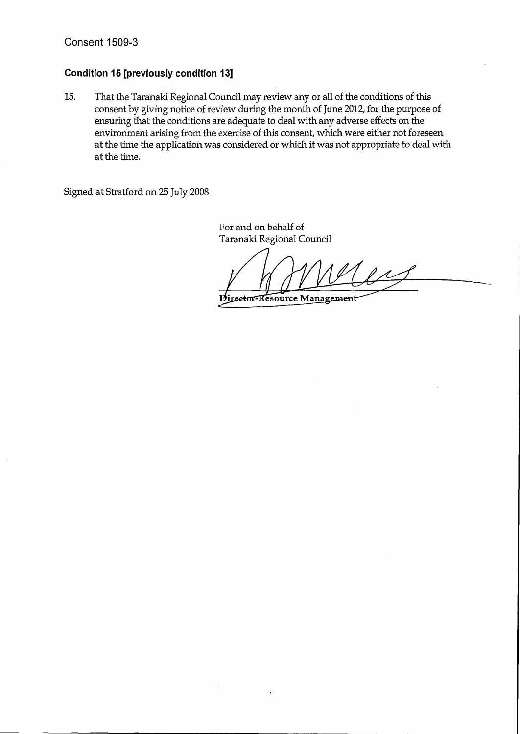## **Condition 15 [previously condition 13]**

15. That the Taranaki Regional Council may review any or all of the conditions of this consent by giving notice of review during the month of June 2012, for the purpose of ensuring that the conditions are adequate to deal with any adverse effects on the environment arising from the exercise of this consent, which were either not foreseen at the time the application was considered or which it was not appropriate to deal with at the time.

Signed at Stratford on 25 July 2008

For and on behalf of Taranaki Regional Council

 $\mu$ Director-Resource Management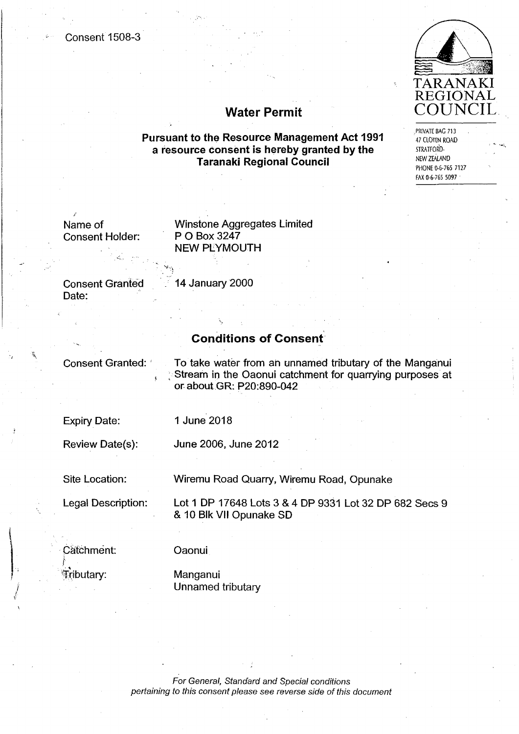#### **Consent 1508-3**



PRIVATE BAG 713

**47 CLOTEN ROAD** 

PHONE 0-6-765 7127 FAX 0-6-765 5097

STRATFORD-NEW ZEALAND

**Water Permit** 

**Pursuant to the Resource Management Act 1991** a resource consent is hereby granted by the **Taranaki Regional Council** 

Name of **Consent Holder:**  **Winstone Aggregates Limited** P O Box 3247 **NEW PLYMOUTH** 

**Consent Granted** Date:

14 January 2000

#### **Conditions of Consent**

**Consent Granted:** 

To take water from an unnamed tributary of the Manganui Stream in the Oaonui catchment for quarrying purposes at or about GR: P20:890-042

**Expiry Date:** 

1 June 2018

Review Date(s):

June 2006, June 2012

Site Location:

Wiremu Road Quarry, Wiremu Road, Opunake

**Legal Description:** 

Lot 1 DP 17648 Lots 3 & 4 DP 9331 Lot 32 DP 682 Secs 9 & 10 Blk VII Opunake SD

Catchment: Tributary:

#### **Oaonui**

Manganui Unnamed tributary